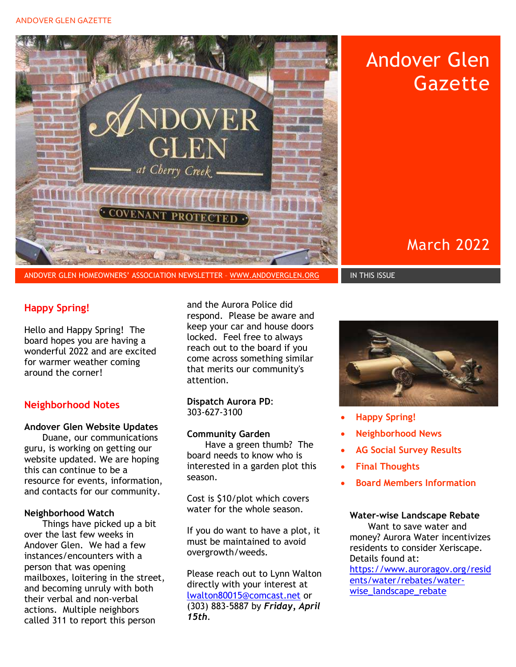#### ANDOVER GLEN GAZETTE



ANDOVER GLEN HOMEOWNERS' ASSOCIATION NEWSLETTER – WWW.ANDOVERGLEN.ORG IN THIS ISSUE

# Happy Spring!

Hello and Happy Spring! The board hopes you are having a wonderful 2022 and are excited for warmer weather coming around the corner!

# Neighborhood Notes

### Andover Glen Website Updates

Duane, our communications guru, is working on getting our website updated. We are hoping this can continue to be a resource for events, information, and contacts for our community.

### Neighborhood Watch

Things have picked up a bit over the last few weeks in Andover Glen. We had a few instances/encounters with a person that was opening mailboxes, loitering in the street, and becoming unruly with both their verbal and non-verbal actions. Multiple neighbors called 311 to report this person

and the Aurora Police did respond. Please be aware and keep your car and house doors locked. Feel free to always reach out to the board if you come across something similar that merits our community's attention.

### Dispatch Aurora PD: 303-627-3100

### Community Garden

Have a green thumb? The board needs to know who is interested in a garden plot this season.

Cost is \$10/plot which covers water for the whole season.

If you do want to have a plot, it must be maintained to avoid overgrowth/weeds.

Please reach out to Lynn Walton directly with your interest at lwalton80015@comcast.net or (303) 883-5887 by Friday, April 15th.



Andover Glen

**Gazette** 

March 2022

- Happy Spring!
- Neighborhood News
- AG Social Survey Results
- Final Thoughts
- Board Members Information

#### Water-wise Landscape Rebate

Want to save water and money? Aurora Water incentivizes residents to consider Xeriscape. Details found at: https://www.auroragov.org/resid ents/water/rebates/water-

wise\_landscape\_rebate